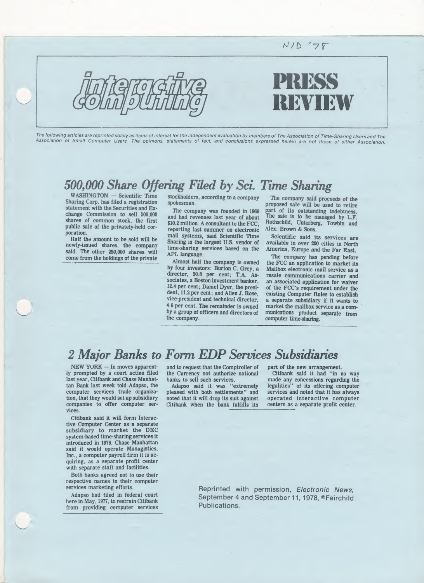

The following articles are reprinted solely as items of interest for the independent evaluation by members of The Association of Time-Sharing Users and The Association of Small Computer Users. The opinions, statements of fact, and conclusions expressed herein are not those of either Association.

## 500,000 Share Offering Filed by Sci. Time Sharing

WASHINGTON - Scientific Time Sharing Corp. has filed a registration statement with the Securities and Exchange Commission to sell 500,000 shares of common stock, the first public sale of the privately-held corporation.

Half the amount to be sold will be newly-issued shares, the company said. The other 250,000 shares will come from the holdings of the private

stockholders, according to a company spokesman.

The company was founded in 1969 and had revenues last year of about \$10.2 million. A consultant to the FCC, reporting last summer on electronic mail systems, said Scientific Time Sharing is the largest U.S. vendor of time-sharing services based on the APL language.

Almost half the company is owned by four investors: Burton C. Grey, a director, 20.8 per cent; T.A. Associates, a Boston investment banker, 12.4 per cent; Daniel Dyer, the president, 11.2 per cent; and Allen J. Rose, vice-president and technical director, 4.6 per cent. The remainder is owned by a group of officers and directors of the company.

The company said proceeds of the proposed sale will be used to retire part of its outstanding indebtness. The sale is to be managed by L.F. Rothschild, Unterberg, Towbin and Alex. Brown & Sons.

Scientific said its services are available in over 200 cities in North America, Europe and the Far East.

The company has pending before the FCC an application to market its Mailbox electronic mail service as a resale communications carrier and an associated application for waiver of the FCC's requirement under the existing Computer Rules to establish a separate subsidiary if it wants to market the mailbox service as a communications product separate from computer time-sharing.

## 2 Major Banks to Form EDP Services Subsidiaries

NEW YORK - In moves apparently prompted by a court action filed last year, Citibank and Chase Manhattan Bank last week told Adapso, the computer services trade organization, that they would set up subsidiary companies to offer computer services.

Citibank said it will form Interactive Computer Center as a separate subsidiary to market the DEC system-based time-sharing services it introduced in 1976. Chase Manhattan said it would operate Managistics, Inc., a computer payroll firm it is acquiring, as a separate profit center with separate staff and facilities.

Both banks agreed not to use their respective names in their computer services marketing efforts.

Adapso had filed in federal court here in May, 1977, to restrain Citibank from providing computer services

and to request that the Comptroller of the Currency not authorize national banks to sell such services.

Adapso said it was "extremely pleased with both settlements" and noted that it will drop its suit against Citibank when the bank fulfills its

part of the new arrangement.

Citibank said it had "in no way made any concessions regarding the legalities" of its offering computer services and noted that it has always operated interactive computer centers as a separate profit center.

Reprinted with permission, Electronic News, September 4 and September 11, 1978, ©Fairchild Publications.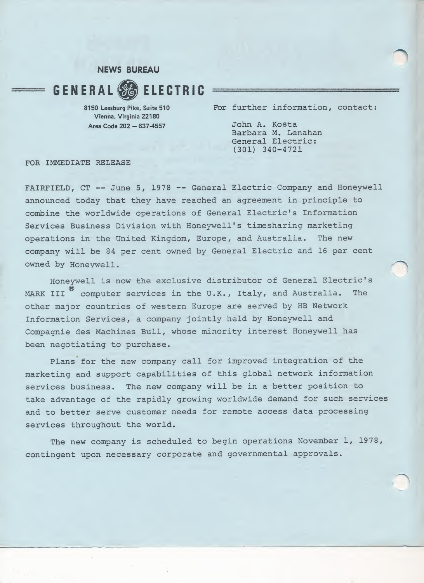NEWS BUREAU

GENERAL SA ELECTRIC

8150 Leesburg Pike, Suite 510 Vienna, Virginia 22180 Area Code 202 - 637-4557

For further information, contact:

John A. Kosta Barbara M. Lenahan General Electric: (301) 340-4721

FOR IMMEDIATE RELEASE

FAIRFIELD, CT -- June 5, 1978 -- General Electric Company and Honeywell announced today that they have reached an agreement in principle to combine the worldwide operations of General Electric's Information Services Business Division with Honeywell's timesharing marketing operations in the United Kingdom, Europe, and Australia. The new company will be <sup>84</sup> per cent owned by General Electric and <sup>16</sup> per cent owned by Honeywell.

Honeywell is now the exclusive distributor of General Electric's MARK III<sup>®</sup> computer services in the U.K., Italy, and Australia. The other major countries of western Europe are served by HB Network Information Services, a company jointly held by Honeywell and Compagnie des Machines Bull, whose minority interest Honeywell has been negotiating to purchase.

Plans for the new company call for improved integration of the marketing and support capabilities of this global network information services business. The new company will be in a better position to take advantage of the rapidly growing worldwide demand for such services and to better serve customer needs for remote access data processing services throughout the world.

The new company is scheduled to begin operations November 1, 1978, contingent upon necessary corporate and governmental approvals.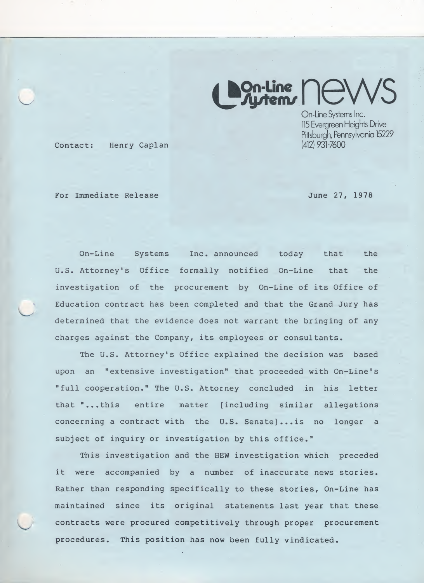On-Line  $\bigcap$   $\ominus$   $\vee$ 

On-Line Systems Inc. <sup>115</sup> Evergreen Heights Drive Pittsburgh, Pennsylvania 15229

Contact: Henry Caplan (412) 931-7600

For Immediate Release June 27, 1978

On-Line Systems Inc. announced today that the U.S. Attorney's Office formally notified On-Line that the investigation of the procurement by On-Line of its Office of Education contract has been completed and that the Grand Jury has determined that the evidence does not warrant the bringing of any charges against the Company, its employees or consultants.

The U.S. Attorney's Office explained the decision was based upon an "extensive investigation" that proceeded with On-Line's "full cooperation." The U.S. Attorney concluded in his letter that "...this entire matter [including similar allegations concerning <sup>a</sup> contract with the U.S. Senate],..is no longer <sup>a</sup> subject of inquiry or investigation by this office."

This investigation and the HEW investigation which preceded it were accompanied by <sup>a</sup> number of inaccurate news stories. Rather than responding specifically to these stories, On-Line has maintained since its original statements last year that these contracts were procured competitively through proper procurement procedures. This position has now been fully vindicated.